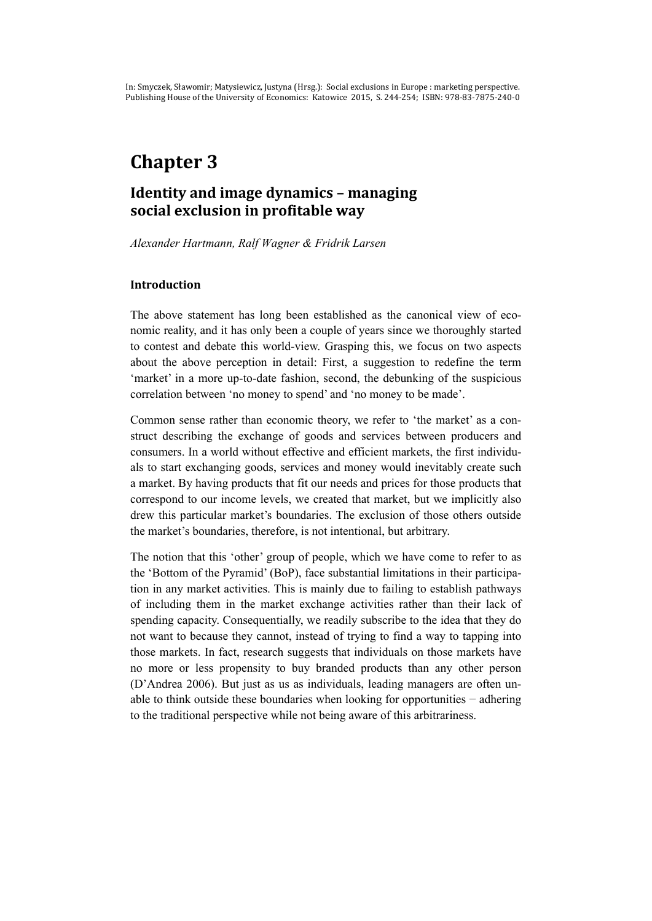# **Chapter 3**

# **Identity and image dynamics – managing social exclusion in profitable way**

*Alexander Hartmann, Ralf Wagner & Fridrik Larsen* 

#### **Introduction**

The above statement has long been established as the canonical view of economic reality, and it has only been a couple of years since we thoroughly started to contest and debate this world-view. Grasping this, we focus on two aspects about the above perception in detail: First, a suggestion to redefine the term 'market' in a more up-to-date fashion, second, the debunking of the suspicious correlation between 'no money to spend' and 'no money to be made'.

Common sense rather than economic theory, we refer to 'the market' as a construct describing the exchange of goods and services between producers and consumers. In a world without effective and efficient markets, the first individuals to start exchanging goods, services and money would inevitably create such a market. By having products that fit our needs and prices for those products that correspond to our income levels, we created that market, but we implicitly also drew this particular market's boundaries. The exclusion of those others outside the market's boundaries, therefore, is not intentional, but arbitrary.

The notion that this 'other' group of people, which we have come to refer to as the 'Bottom of the Pyramid' (BoP), face substantial limitations in their participation in any market activities. This is mainly due to failing to establish pathways of including them in the market exchange activities rather than their lack of spending capacity. Consequentially, we readily subscribe to the idea that they do not want to because they cannot, instead of trying to find a way to tapping into those markets. In fact, research suggests that individuals on those markets have no more or less propensity to buy branded products than any other person (D'Andrea 2006). But just as us as individuals, leading managers are often unable to think outside these boundaries when looking for opportunities − adhering to the traditional perspective while not being aware of this arbitrariness.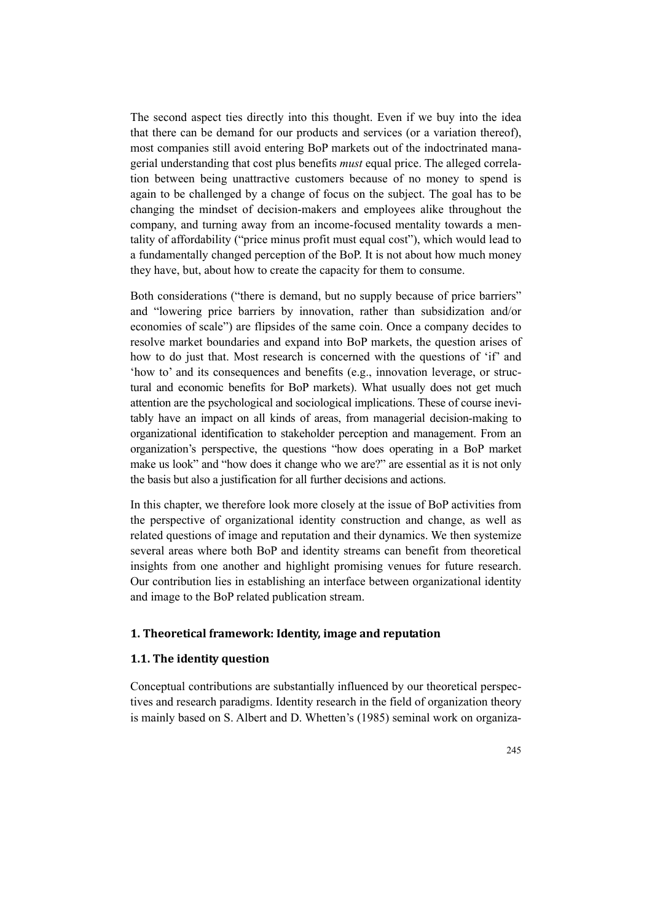The second aspect ties directly into this thought. Even if we buy into the idea that there can be demand for our products and services (or a variation thereof), most companies still avoid entering BoP markets out of the indoctrinated managerial understanding that cost plus benefits *must* equal price. The alleged correlation between being unattractive customers because of no money to spend is again to be challenged by a change of focus on the subject. The goal has to be changing the mindset of decision-makers and employees alike throughout the company, and turning away from an income-focused mentality towards a mentality of affordability ("price minus profit must equal cost"), which would lead to a fundamentally changed perception of the BoP. It is not about how much money they have, but, about how to create the capacity for them to consume.

Both considerations ("there is demand, but no supply because of price barriers" and "lowering price barriers by innovation, rather than subsidization and/or economies of scale") are flipsides of the same coin. Once a company decides to resolve market boundaries and expand into BoP markets, the question arises of how to do just that. Most research is concerned with the questions of 'if' and 'how to' and its consequences and benefits (e.g., innovation leverage, or structural and economic benefits for BoP markets). What usually does not get much attention are the psychological and sociological implications. These of course inevitably have an impact on all kinds of areas, from managerial decision-making to organizational identification to stakeholder perception and management. From an organization's perspective, the questions "how does operating in a BoP market make us look" and "how does it change who we are?" are essential as it is not only the basis but also a justification for all further decisions and actions.

In this chapter, we therefore look more closely at the issue of BoP activities from the perspective of organizational identity construction and change, as well as related questions of image and reputation and their dynamics. We then systemize several areas where both BoP and identity streams can benefit from theoretical insights from one another and highlight promising venues for future research. Our contribution lies in establishing an interface between organizational identity and image to the BoP related publication stream.

### **1. Theoretical framework: Identity, image and reputation**

#### **1.1. The identity question**

Conceptual contributions are substantially influenced by our theoretical perspectives and research paradigms. Identity research in the field of organization theory is mainly based on S. Albert and D. Whetten's (1985) seminal work on organiza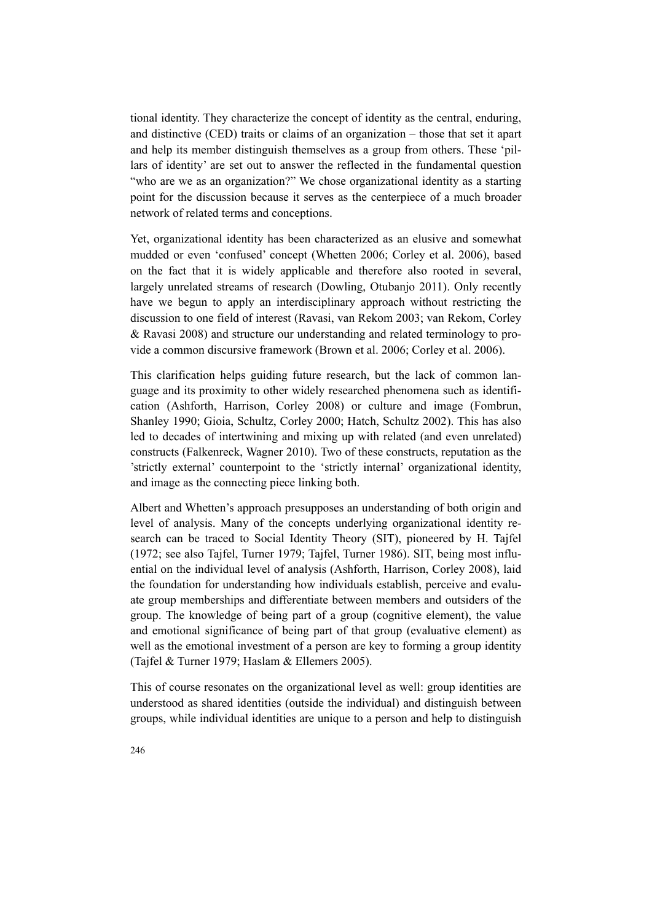tional identity. They characterize the concept of identity as the central, enduring, and distinctive (CED) traits or claims of an organization – those that set it apart and help its member distinguish themselves as a group from others. These 'pillars of identity' are set out to answer the reflected in the fundamental question "who are we as an organization?" We chose organizational identity as a starting point for the discussion because it serves as the centerpiece of a much broader network of related terms and conceptions.

Yet, organizational identity has been characterized as an elusive and somewhat mudded or even 'confused' concept (Whetten 2006; Corley et al. 2006), based on the fact that it is widely applicable and therefore also rooted in several, largely unrelated streams of research (Dowling, Otubanjo 2011). Only recently have we begun to apply an interdisciplinary approach without restricting the discussion to one field of interest (Ravasi, van Rekom 2003; van Rekom, Corley & Ravasi 2008) and structure our understanding and related terminology to provide a common discursive framework (Brown et al. 2006; Corley et al. 2006).

This clarification helps guiding future research, but the lack of common language and its proximity to other widely researched phenomena such as identification (Ashforth, Harrison, Corley 2008) or culture and image (Fombrun, Shanley 1990; Gioia, Schultz, Corley 2000; Hatch, Schultz 2002). This has also led to decades of intertwining and mixing up with related (and even unrelated) constructs (Falkenreck, Wagner 2010). Two of these constructs, reputation as the 'strictly external' counterpoint to the 'strictly internal' organizational identity, and image as the connecting piece linking both.

Albert and Whetten's approach presupposes an understanding of both origin and level of analysis. Many of the concepts underlying organizational identity research can be traced to Social Identity Theory (SIT), pioneered by H. Tajfel (1972; see also Tajfel, Turner 1979; Tajfel, Turner 1986). SIT, being most influential on the individual level of analysis (Ashforth, Harrison, Corley 2008), laid the foundation for understanding how individuals establish, perceive and evaluate group memberships and differentiate between members and outsiders of the group. The knowledge of being part of a group (cognitive element), the value and emotional significance of being part of that group (evaluative element) as well as the emotional investment of a person are key to forming a group identity (Tajfel & Turner 1979; Haslam & Ellemers 2005).

This of course resonates on the organizational level as well: group identities are understood as shared identities (outside the individual) and distinguish between groups, while individual identities are unique to a person and help to distinguish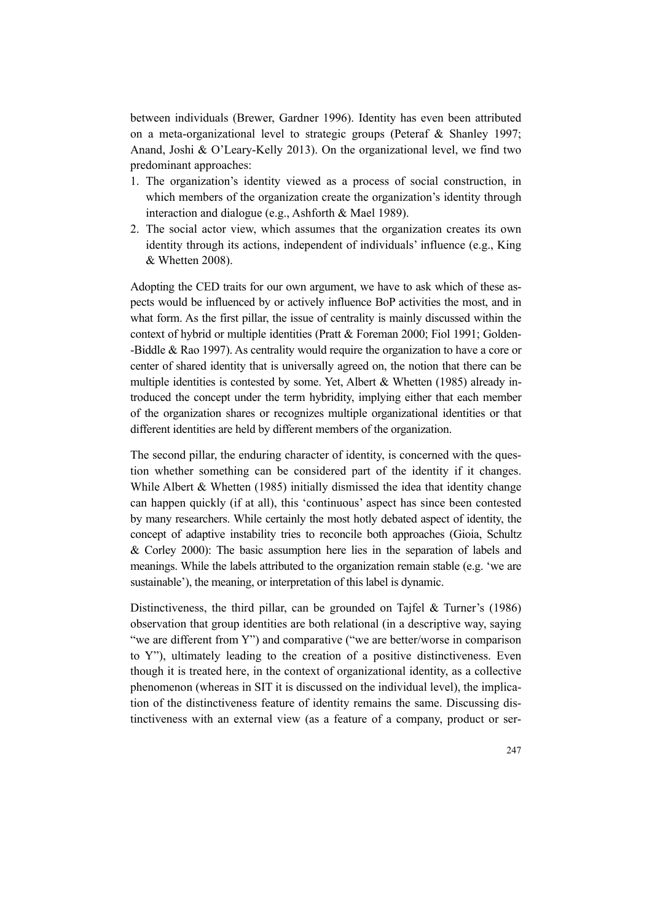between individuals (Brewer, Gardner 1996). Identity has even been attributed on a meta-organizational level to strategic groups (Peteraf & Shanley 1997; Anand, Joshi & O'Leary-Kelly 2013). On the organizational level, we find two predominant approaches:

- 1. The organization's identity viewed as a process of social construction, in which members of the organization create the organization's identity through interaction and dialogue (e.g., Ashforth & Mael 1989).
- 2. The social actor view, which assumes that the organization creates its own identity through its actions, independent of individuals' influence (e.g., King & Whetten 2008).

Adopting the CED traits for our own argument, we have to ask which of these aspects would be influenced by or actively influence BoP activities the most, and in what form. As the first pillar, the issue of centrality is mainly discussed within the context of hybrid or multiple identities (Pratt & Foreman 2000; Fiol 1991; Golden- -Biddle & Rao 1997). As centrality would require the organization to have a core or center of shared identity that is universally agreed on, the notion that there can be multiple identities is contested by some. Yet, Albert & Whetten (1985) already introduced the concept under the term hybridity, implying either that each member of the organization shares or recognizes multiple organizational identities or that different identities are held by different members of the organization.

The second pillar, the enduring character of identity, is concerned with the question whether something can be considered part of the identity if it changes. While Albert & Whetten (1985) initially dismissed the idea that identity change can happen quickly (if at all), this 'continuous' aspect has since been contested by many researchers. While certainly the most hotly debated aspect of identity, the concept of adaptive instability tries to reconcile both approaches (Gioia, Schultz & Corley 2000): The basic assumption here lies in the separation of labels and meanings. While the labels attributed to the organization remain stable (e.g. 'we are sustainable'), the meaning, or interpretation of this label is dynamic.

Distinctiveness, the third pillar, can be grounded on Tajfel & Turner's (1986) observation that group identities are both relational (in a descriptive way, saying "we are different from Y") and comparative ("we are better/worse in comparison to Y"), ultimately leading to the creation of a positive distinctiveness. Even though it is treated here, in the context of organizational identity, as a collective phenomenon (whereas in SIT it is discussed on the individual level), the implication of the distinctiveness feature of identity remains the same. Discussing distinctiveness with an external view (as a feature of a company, product or ser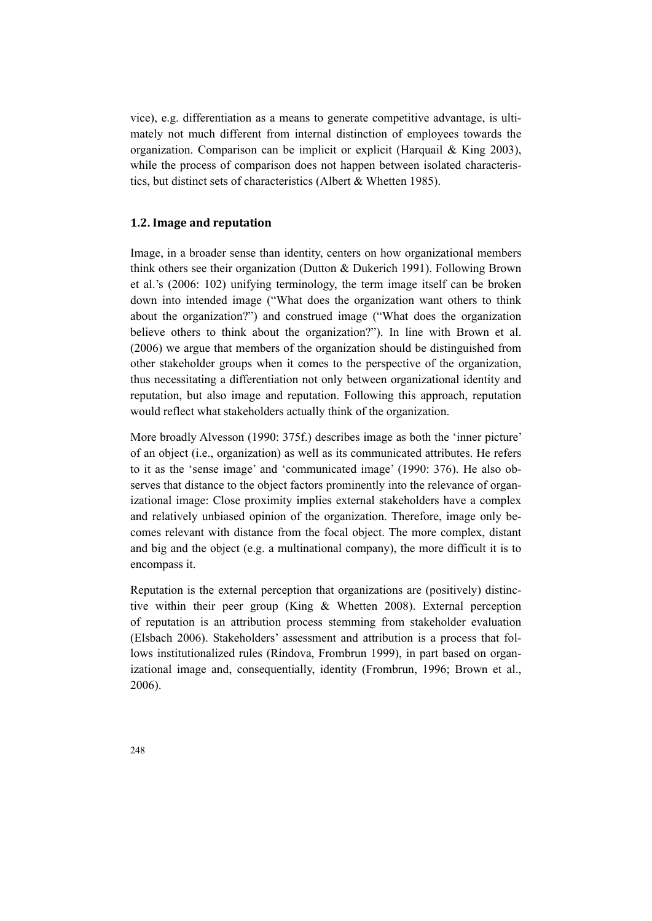vice), e.g. differentiation as a means to generate competitive advantage, is ultimately not much different from internal distinction of employees towards the organization. Comparison can be implicit or explicit (Harquail & King 2003), while the process of comparison does not happen between isolated characteristics, but distinct sets of characteristics (Albert & Whetten 1985).

## **1.2. Image and reputation**

Image, in a broader sense than identity, centers on how organizational members think others see their organization (Dutton & Dukerich 1991). Following Brown et al.'s (2006: 102) unifying terminology, the term image itself can be broken down into intended image ("What does the organization want others to think about the organization?") and construed image ("What does the organization believe others to think about the organization?"). In line with Brown et al. (2006) we argue that members of the organization should be distinguished from other stakeholder groups when it comes to the perspective of the organization, thus necessitating a differentiation not only between organizational identity and reputation, but also image and reputation. Following this approach, reputation would reflect what stakeholders actually think of the organization.

More broadly Alvesson (1990: 375f.) describes image as both the 'inner picture' of an object (i.e., organization) as well as its communicated attributes. He refers to it as the 'sense image' and 'communicated image' (1990: 376). He also observes that distance to the object factors prominently into the relevance of organizational image: Close proximity implies external stakeholders have a complex and relatively unbiased opinion of the organization. Therefore, image only becomes relevant with distance from the focal object. The more complex, distant and big and the object (e.g. a multinational company), the more difficult it is to encompass it.

Reputation is the external perception that organizations are (positively) distinctive within their peer group (King & Whetten 2008). External perception of reputation is an attribution process stemming from stakeholder evaluation (Elsbach 2006). Stakeholders' assessment and attribution is a process that follows institutionalized rules (Rindova, Frombrun 1999), in part based on organizational image and, consequentially, identity (Frombrun, 1996; Brown et al., 2006).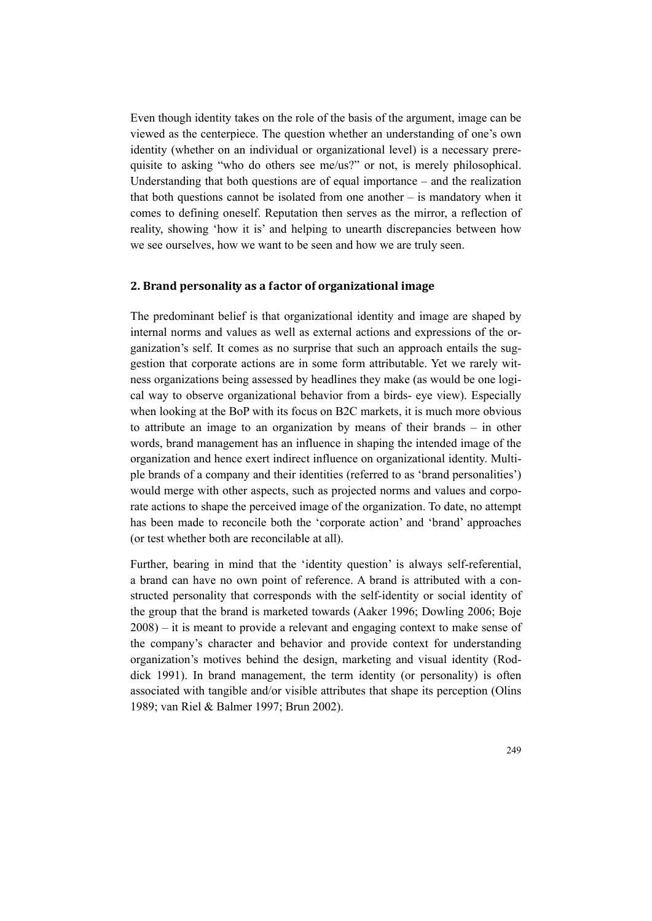Even though identity takes on the role of the basis of the argument, image can be viewed as the centerpiece. The question whether an understanding of one's own identity (whether on an individual or organizational level) is a necessary prerequisite to asking "who do others see me/us?" or not, is merely philosophical. Understanding that both questions are of equal importance – and the realization that both questions cannot be isolated from one another – is mandatory when it comes to defining oneself. Reputation then serves as the mirror, a reflection of reality, showing 'how it is' and helping to unearth discrepancies between how we see ourselves, how we want to be seen and how we are truly seen.

#### **2. Brand personality as a factor of organizational image**

The predominant belief is that organizational identity and image are shaped by internal norms and values as well as external actions and expressions of the organization's self. It comes as no surprise that such an approach entails the suggestion that corporate actions are in some form attributable. Yet we rarely witness organizations being assessed by headlines they make (as would be one logical way to observe organizational behavior from a birds- eye view). Especially when looking at the BoP with its focus on B2C markets, it is much more obvious to attribute an image to an organization by means of their brands – in other words, brand management has an influence in shaping the intended image of the organization and hence exert indirect influence on organizational identity. Multiple brands of a company and their identities (referred to as 'brand personalities') would merge with other aspects, such as projected norms and values and corporate actions to shape the perceived image of the organization. To date, no attempt has been made to reconcile both the 'corporate action' and 'brand' approaches (or test whether both are reconcilable at all).

Further, bearing in mind that the 'identity question' is always self-referential, a brand can have no own point of reference. A brand is attributed with a constructed personality that corresponds with the self-identity or social identity of the group that the brand is marketed towards (Aaker 1996; Dowling 2006; Boje 2008) – it is meant to provide a relevant and engaging context to make sense of the company's character and behavior and provide context for understanding organization's motives behind the design, marketing and visual identity (Roddick 1991). In brand management, the term identity (or personality) is often associated with tangible and/or visible attributes that shape its perception (Olins 1989; van Riel & Balmer 1997; Brun 2002).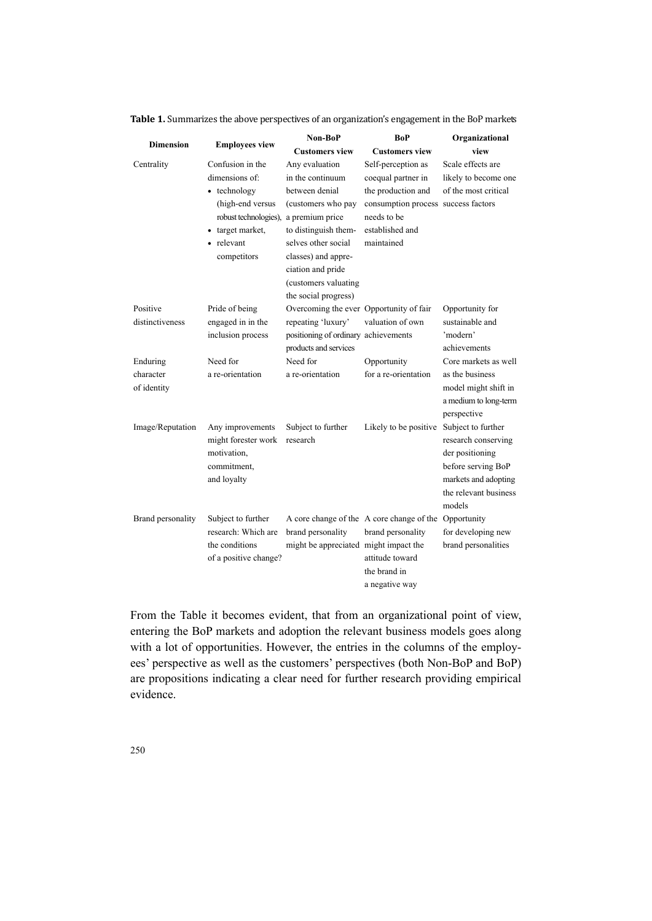| <b>Dimension</b>  | <b>Employees view</b>                 | Non-BoP                                 | BoP                                       | Organizational        |
|-------------------|---------------------------------------|-----------------------------------------|-------------------------------------------|-----------------------|
|                   |                                       | <b>Customers view</b>                   | <b>Customers view</b>                     | view                  |
| Centrality        | Confusion in the                      | Any evaluation                          | Self-perception as                        | Scale effects are     |
|                   | dimensions of:                        | in the continuum                        | coequal partner in                        | likely to become one  |
|                   | • technology                          | between denial                          | the production and                        | of the most critical  |
|                   | (high-end versus                      | (customers who pay                      | consumption process success factors       |                       |
|                   | robust technologies),                 | a premium price                         | needs to be                               |                       |
|                   | • target market,                      | to distinguish them-                    | established and                           |                       |
|                   | • relevant                            | selves other social                     | maintained                                |                       |
|                   | competitors                           | classes) and appre-                     |                                           |                       |
|                   |                                       | ciation and pride                       |                                           |                       |
|                   |                                       | (customers valuating                    |                                           |                       |
|                   |                                       | the social progress)                    |                                           |                       |
| Positive          | Pride of being                        | Overcoming the ever Opportunity of fair |                                           | Opportunity for       |
| distinctiveness   | engaged in in the                     | repeating 'luxury'                      | valuation of own                          | sustainable and       |
|                   | inclusion process                     | positioning of ordinary achievements    |                                           | 'modern'              |
|                   |                                       | products and services                   |                                           | achievements          |
| Enduring          | Need for                              | Need for                                | Opportunity                               | Core markets as well  |
| character         | a re-orientation                      | a re-orientation                        | for a re-orientation                      | as the business       |
| of identity       |                                       |                                         |                                           | model might shift in  |
|                   |                                       |                                         |                                           | a medium to long-term |
|                   |                                       |                                         |                                           | perspective           |
| Image/Reputation  | Any improvements                      | Subject to further                      | Likely to be positive                     | Subject to further    |
|                   | might forester work                   | research                                |                                           | research conserving   |
|                   | motivation,                           |                                         |                                           | der positioning       |
|                   | commitment,                           |                                         |                                           | before serving BoP    |
|                   | and loyalty                           |                                         |                                           | markets and adopting  |
|                   |                                       |                                         |                                           | the relevant business |
|                   |                                       |                                         |                                           | models                |
| Brand personality | Subject to further                    |                                         | A core change of the A core change of the | Opportunity           |
|                   | research: Which are<br>the conditions | brand personality                       | brand personality                         | for developing new    |
|                   |                                       | might be appreciated might impact the   | attitude toward                           | brand personalities   |
|                   | of a positive change?                 |                                         | the brand in                              |                       |
|                   |                                       |                                         |                                           |                       |
|                   |                                       |                                         | a negative way                            |                       |

**Table 1.** Summarizes the above perspectives of an organization's engagement in the BoP markets

From the Table it becomes evident, that from an organizational point of view, entering the BoP markets and adoption the relevant business models goes along with a lot of opportunities. However, the entries in the columns of the employees' perspective as well as the customers' perspectives (both Non-BoP and BoP) are propositions indicating a clear need for further research providing empirical evidence.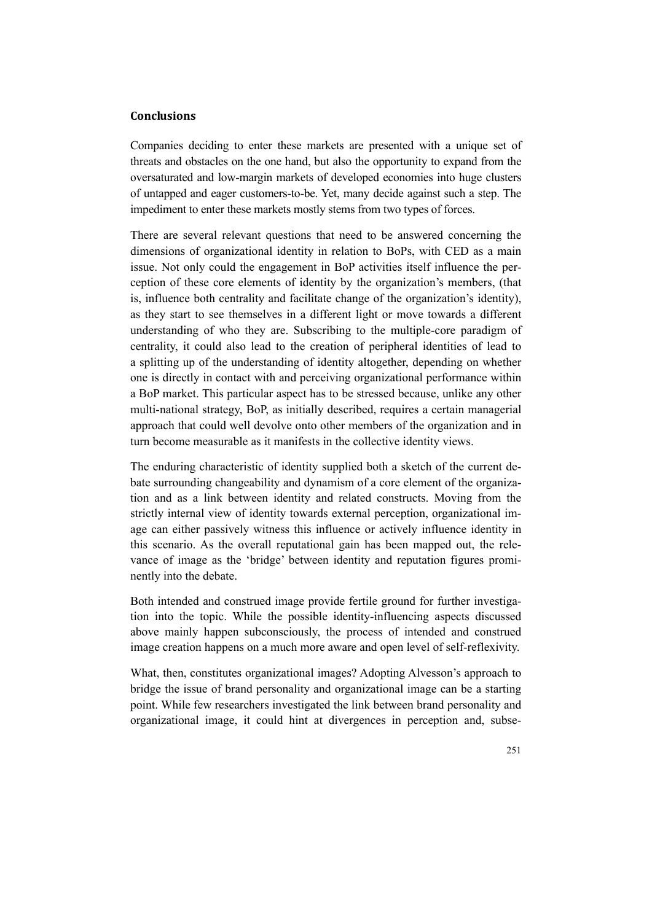# **Conclusions**

Companies deciding to enter these markets are presented with a unique set of threats and obstacles on the one hand, but also the opportunity to expand from the oversaturated and low-margin markets of developed economies into huge clusters of untapped and eager customers-to-be. Yet, many decide against such a step. The impediment to enter these markets mostly stems from two types of forces.

There are several relevant questions that need to be answered concerning the dimensions of organizational identity in relation to BoPs, with CED as a main issue. Not only could the engagement in BoP activities itself influence the perception of these core elements of identity by the organization's members, (that is, influence both centrality and facilitate change of the organization's identity), as they start to see themselves in a different light or move towards a different understanding of who they are. Subscribing to the multiple-core paradigm of centrality, it could also lead to the creation of peripheral identities of lead to a splitting up of the understanding of identity altogether, depending on whether one is directly in contact with and perceiving organizational performance within a BoP market. This particular aspect has to be stressed because, unlike any other multi-national strategy, BoP, as initially described, requires a certain managerial approach that could well devolve onto other members of the organization and in turn become measurable as it manifests in the collective identity views.

The enduring characteristic of identity supplied both a sketch of the current debate surrounding changeability and dynamism of a core element of the organization and as a link between identity and related constructs. Moving from the strictly internal view of identity towards external perception, organizational image can either passively witness this influence or actively influence identity in this scenario. As the overall reputational gain has been mapped out, the relevance of image as the 'bridge' between identity and reputation figures prominently into the debate.

Both intended and construed image provide fertile ground for further investigation into the topic. While the possible identity-influencing aspects discussed above mainly happen subconsciously, the process of intended and construed image creation happens on a much more aware and open level of self-reflexivity.

What, then, constitutes organizational images? Adopting Alvesson's approach to bridge the issue of brand personality and organizational image can be a starting point. While few researchers investigated the link between brand personality and organizational image, it could hint at divergences in perception and, subse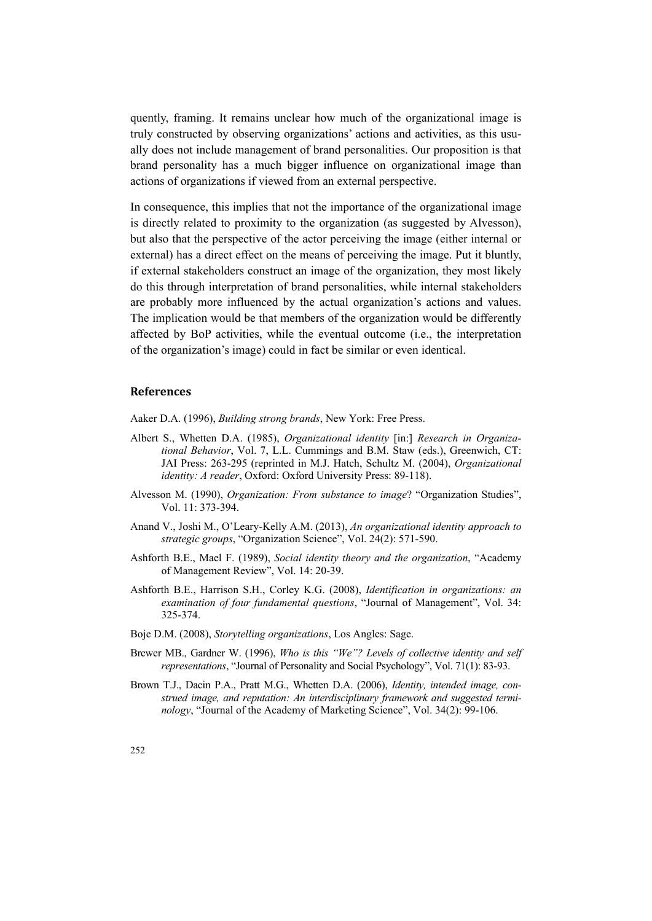quently, framing. It remains unclear how much of the organizational image is truly constructed by observing organizations' actions and activities, as this usually does not include management of brand personalities. Our proposition is that brand personality has a much bigger influence on organizational image than actions of organizations if viewed from an external perspective.

In consequence, this implies that not the importance of the organizational image is directly related to proximity to the organization (as suggested by Alvesson), but also that the perspective of the actor perceiving the image (either internal or external) has a direct effect on the means of perceiving the image. Put it bluntly, if external stakeholders construct an image of the organization, they most likely do this through interpretation of brand personalities, while internal stakeholders are probably more influenced by the actual organization's actions and values. The implication would be that members of the organization would be differently affected by BoP activities, while the eventual outcome (i.e., the interpretation of the organization's image) could in fact be similar or even identical.

#### **References**

Aaker D.A. (1996), *Building strong brands*, New York: Free Press.

- Albert S., Whetten D.A. (1985), *Organizational identity* [in:] *Research in Organizational Behavior*, Vol. 7, L.L. Cummings and B.M. Staw (eds.), Greenwich, CT: JAI Press: 263-295 (reprinted in M.J. Hatch, Schultz M. (2004), *Organizational identity: A reader*, Oxford: Oxford University Press: 89-118).
- Alvesson M. (1990), *Organization: From substance to image*? "Organization Studies", Vol. 11: 373-394.
- Anand V., Joshi M., O'Leary-Kelly A.M. (2013), *An organizational identity approach to strategic groups*, "Organization Science", Vol. 24(2): 571-590.
- Ashforth B.E., Mael F. (1989), *Social identity theory and the organization*, "Academy of Management Review", Vol. 14: 20-39.
- Ashforth B.E., Harrison S.H., Corley K.G. (2008), *Identification in organizations: an examination of four fundamental questions*, "Journal of Management", Vol. 34: 325-374.
- Boje D.M. (2008), *Storytelling organizations*, Los Angles: Sage.
- Brewer MB., Gardner W. (1996), *Who is this "We"? Levels of collective identity and self representations*, "Journal of Personality and Social Psychology", Vol. 71(1): 83-93.
- Brown T.J., Dacin P.A., Pratt M.G., Whetten D.A. (2006), *Identity, intended image, construed image, and reputation: An interdisciplinary framework and suggested terminology*, "Journal of the Academy of Marketing Science", Vol. 34(2): 99-106.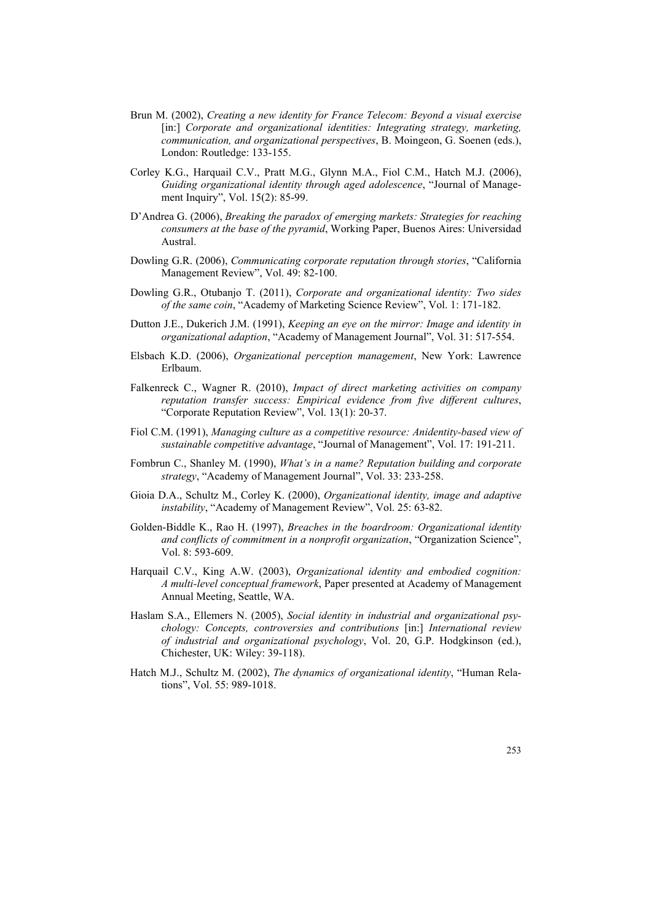- Brun M. (2002), *Creating a new identity for France Telecom: Beyond a visual exercise* [in:] Corporate and organizational identities: Integrating strategy, marketing, *communication, and organizational perspectives*, B. Moingeon, G. Soenen (eds.), London: Routledge: 133-155.
- Corley K.G., Harquail C.V., Pratt M.G., Glynn M.A., Fiol C.M., Hatch M.J. (2006), *Guiding organizational identity through aged adolescence*, "Journal of Management Inquiry", Vol. 15(2): 85-99.
- D'Andrea G. (2006), *Breaking the paradox of emerging markets: Strategies for reaching consumers at the base of the pyramid*, Working Paper, Buenos Aires: Universidad Austral.
- Dowling G.R. (2006), *Communicating corporate reputation through stories*, "California Management Review", Vol. 49: 82-100.
- Dowling G.R., Otubanjo T. (2011), *Corporate and organizational identity: Two sides of the same coin*, "Academy of Marketing Science Review", Vol. 1: 171-182.
- Dutton J.E., Dukerich J.M. (1991), *Keeping an eye on the mirror: Image and identity in organizational adaption*, "Academy of Management Journal", Vol. 31: 517-554.
- Elsbach K.D. (2006), *Organizational perception management*, New York: Lawrence Erlbaum.
- Falkenreck C., Wagner R. (2010), *Impact of direct marketing activities on company reputation transfer success: Empirical evidence from five different cultures*, "Corporate Reputation Review", Vol. 13(1): 20-37.
- Fiol C.M. (1991), *Managing culture as a competitive resource: Anidentity-based view of sustainable competitive advantage*, "Journal of Management", Vol. 17: 191-211.
- Fombrun C., Shanley M. (1990), *What's in a name? Reputation building and corporate strategy*, "Academy of Management Journal", Vol. 33: 233-258.
- Gioia D.A., Schultz M., Corley K. (2000), *Organizational identity, image and adaptive instability*, "Academy of Management Review", Vol. 25: 63-82.
- Golden-Biddle K., Rao H. (1997), *Breaches in the boardroom: Organizational identity and conflicts of commitment in a nonprofit organization*, "Organization Science", Vol. 8: 593-609.
- Harquail C.V., King A.W. (2003), *Organizational identity and embodied cognition: A multi-level conceptual framework*, Paper presented at Academy of Management Annual Meeting, Seattle, WA.
- Haslam S.A., Ellemers N. (2005), *Social identity in industrial and organizational psychology: Concepts, controversies and contributions* [in:] *International review of industrial and organizational psychology*, Vol. 20, G.P. Hodgkinson (ed.), Chichester, UK: Wiley: 39-118).
- Hatch M.J., Schultz M. (2002), *The dynamics of organizational identity*, "Human Relations", Vol. 55: 989-1018.